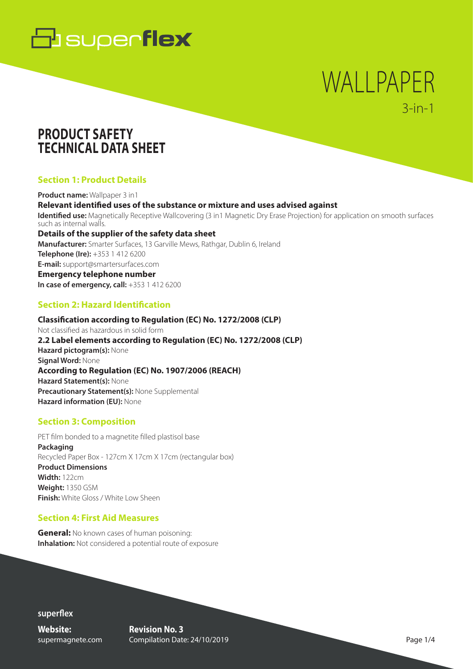

# WALLPAPER 3-in-1

### **PRODUCT SAFETY TECHNICAL DATA SHEET**

#### **Section 1: Product Details**

**Product name:** Wallpaper 3 in1 **Relevant identified uses of the substance or mixture and uses advised against Identified use:** Magnetically Receptive Wallcovering (3 in1 Magnetic Dry Erase Projection) for application on smooth surfaces such as internal walls. **Details of the supplier of the safety data sheet Manufacturer:** Smarter Surfaces, 13 Garville Mews, Rathgar, Dublin 6, Ireland **Telephone (Ire):** +353 1 412 6200 **E-mail:** support@smartersurfaces.com **Emergency telephone number In case of emergency, call:**  $+353$  1 412 6200

#### **Section 2: Hazard Identification**

**Classification according to Regulation (EC) No. 1272/2008 (CLP)**  Not classified as hazardous in solid form **2.2 Label elements according to Regulation (EC) No. 1272/2008 (CLP) Hazard pictogram(s):** None **Signal Word:** None **According to Regulation (EC) No. 1907/2006 (REACH) Hazard Statement(s):** None **Precautionary Statement(s):** None Supplemental **Hazard information (EU):** None

#### **Section 3: Composition**

PET film bonded to a magnetite filled plastisol base **Packaging**  Recycled Paper Box - 127cm X 17cm X 17cm (rectangular box) **Product Dimensions Width:** 122cm **Weight:** 1350 GSM **Finish:** White Gloss / White Low Sheen

#### **Section 4: First Aid Measures**

**General:** No known cases of human poisoning: **Inhalation:** Not considered a potential route of exposure

**superflex**

**Website:** supermagnete.com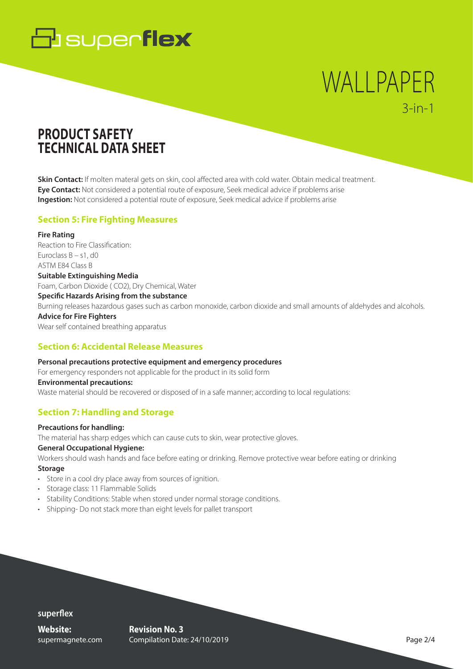# **B** superflex

# WALLPAPER 3-in-1

## **PRODUCT SAFETY TECHNICAL DATA SHEET**

**Skin Contact:** If molten materal gets on skin, cool affected area with cold water. Obtain medical treatment. **Eye Contact:** Not considered a potential route of exposure, Seek medical advice if problems arise **Ingestion:** Not considered a potential route of exposure, Seek medical advice if problems arise

#### **Section 5: Fire Fighting Measures**

**Fire Rating**  Reaction to Fire Classification: Euroclass B – s1, d0 ASTM E84 Class B **Suitable Extinguishing Media**  Foam, Carbon Dioxide ( CO2), Dry Chemical, Water **Specific Hazards Arising from the substance**  Burning releases hazardous gases such as carbon monoxide, carbon dioxide and small amounts of aldehydes and alcohols. **Advice for Fire Fighters**  Wear self contained breathing apparatus

#### **Section 6: Accidental Release Measures**

**Personal precautions protective equipment and emergency procedures**  For emergency responders not applicable for the product in its solid form **Environmental precautions:**  Waste material should be recovered or disposed of in a safe manner; according to local regulations:

#### **Section 7: Handling and Storage**

#### **Precautions for handling:**

The material has sharp edges which can cause cuts to skin, wear protective gloves.

#### **General Occupational Hygiene:**

Workers should wash hands and face before eating or drinking. Remove protective wear before eating or drinking **Storage** 

- Store in a cool dry place away from sources of ignition.
- Storage class: 11 Flammable Solids
- Stability Conditions: Stable when stored under normal storage conditions.
- Shipping- Do not stack more than eight levels for pallet transport

**superflex**

**Website:** supermagnete.com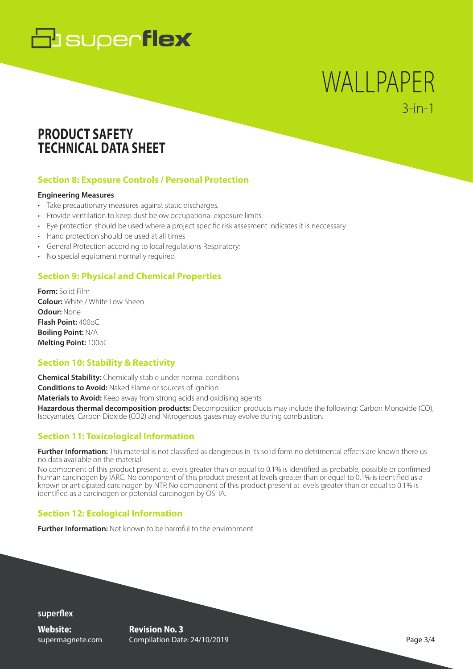# **B** superflex

## WALLPAPER 3-in-1

### **PRODUCT SAFETY TECHNICAL DATA SHEET**

#### **Section 8: Exposure Controls / Personal Protection**

#### **Engineering Measures**

- Take precautionary measures against static discharges.
- Provide ventilation to keep dust below occupational exposure limits.
- Eye protection should be used where a project specific risk assesment indicates it is neccessary
- Hand protection should be used at all times
- General Protection according to local regulations Respiratory:
- No special equipment normally required

#### **Section 9: Physical and Chemical Properties**

**Form:** Solid Film **Colour:** White / White Low Sheen **Odour:** None **Flash Point:** 400oC **Boiling Point:** N/A **Melting Point:** 100oC

#### **Section 10: Stability & Reactivity**

**Chemical Stability:** Chemically stable under normal conditions **Conditions to Avoid:** Naked Flame or sources of ignition **Materials to Avoid:** Keep away from strong acids and oxidising agents

**Hazardous thermal decomposition products:** Decomposition products may include the following: Carbon Monoxide (CO), Isocyanates, Carbon Dioxide (CO2) and Nitrogenous gases may evolve during combustion.

#### **Section 11: Toxicological Information**

**Further Information:** This material is not classified as dangerous in its solid form no detrimental effects are known there us no data available on the material.

No component of this product present at levels greater than or equal to 0.1% is identified as probable, possible or confirmed human carcinogen by IARC. No component of this product present at levels greater than or equal to 0.1% is identified as a known or anticipated carcinogen by NTP. No component of this product present at levels greater than or equal to 0.1% is identified as a carcinogen or potential carcinogen by OSHA.

#### **Section 12: Ecological Information**

**Further Information:** Not known to be harmful to the environment

**superflex**

**Website:** supermagnete.com